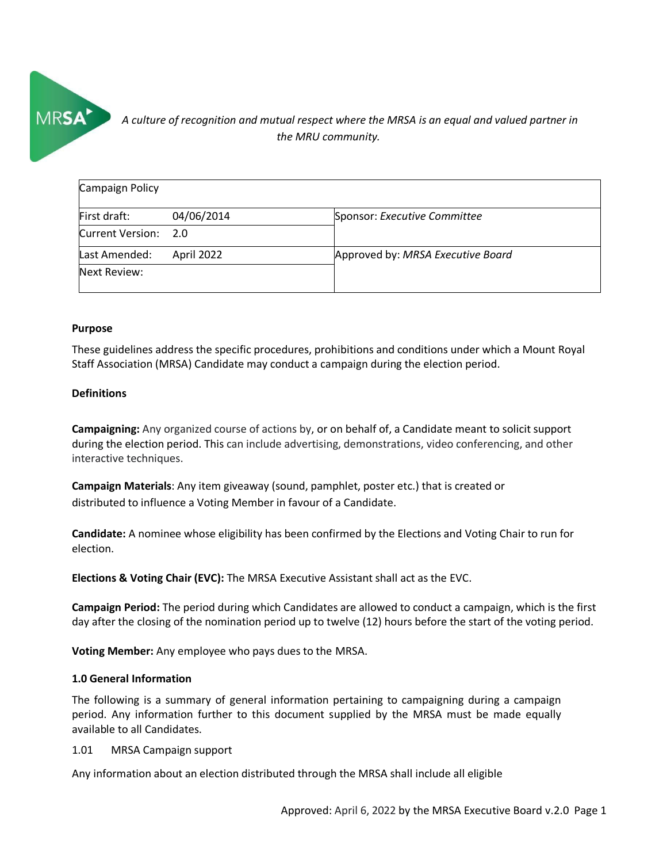

# *A culture of recognition and mutual respect where the MRSA is an equal and valued partner in*<br>
the MRU community. *the MRU community.*

| Campaign Policy      |            |                                   |  |  |  |
|----------------------|------------|-----------------------------------|--|--|--|
| First draft:         | 04/06/2014 | Sponsor: Executive Committee      |  |  |  |
| Current Version: 2.0 |            |                                   |  |  |  |
| Last Amended:        | April 2022 | Approved by: MRSA Executive Board |  |  |  |
| Next Review:         |            |                                   |  |  |  |

#### **Purpose**

These guidelines address the specific procedures, prohibitions and conditions under which a Mount Royal Staff Association (MRSA) Candidate may conduct a campaign during the election period.

### **Definitions**

**Campaigning:** Any organized course of actions by, or on behalf of, a Candidate meant to solicit support during the election period. This can include advertising, demonstrations, video conferencing, and other interactive techniques.

**Campaign Materials**: Any item giveaway (sound, pamphlet, poster etc.) that is created or distributed to influence a Voting Member in favour of a Candidate.

**Candidate:** A nominee whose eligibility has been confirmed by the Elections and Voting Chair to run for election.

**Elections & Voting Chair (EVC):** The MRSA Executive Assistant shall act as the EVC.

**Campaign Period:** The period during which Candidates are allowed to conduct a campaign, which is the first day after the closing of the nomination period up to twelve (12) hours before the start of the voting period.

**Voting Member:** Any employee who pays dues to the MRSA.

#### **1.0 General Information**

The following is a summary of general information pertaining to campaigning during a campaign period. Any information further to this document supplied by the MRSA must be made equally available to all Candidates.

1.01 MRSA Campaign support

Any information about an election distributed through the MRSA shall include all eligible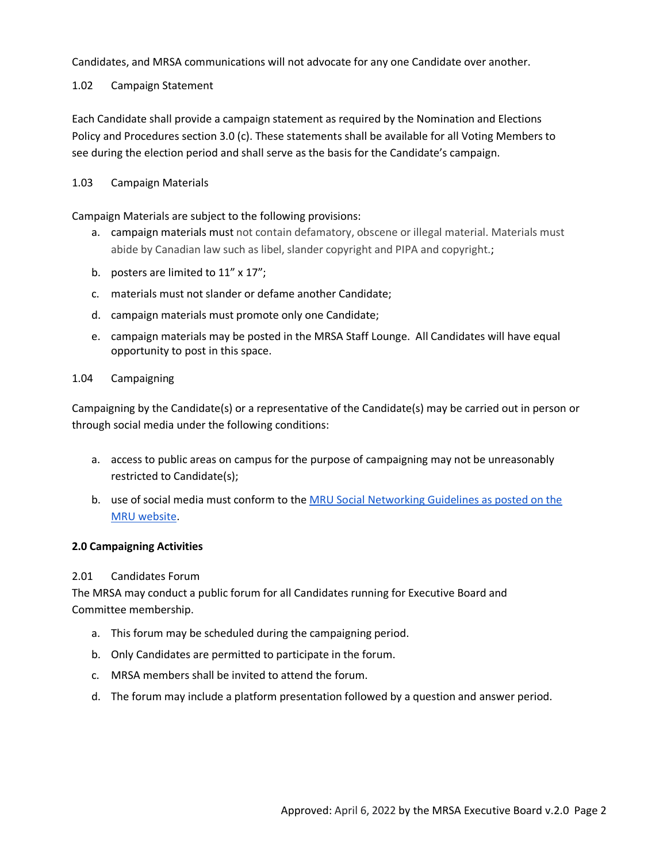Candidates, and MRSA communications will not advocate for any one Candidate over another.

1.02 Campaign Statement

Each Candidate shall provide a campaign statement as required by the Nomination and Elections Policy and Procedures section 3.0 (c). These statements shall be available for all Voting Members to see during the election period and shall serve as the basis for the Candidate's campaign.

## 1.03 Campaign Materials

Campaign Materials are subject to the following provisions:

- a. campaign materials must not contain defamatory, obscene or illegal material. Materials must abide by Canadian law such as libel, slander copyright and PIPA and copyright.;
- b. posters are limited to 11" x 17";
- c. materials must not slander or defame another Candidate;
- d. campaign materials must promote only one Candidate;
- e. campaign materials may be posted in the MRSA Staff Lounge. All Candidates will have equal opportunity to post in this space.

## 1.04 Campaigning

Campaigning by the Candidate(s) or a representative of the Candidate(s) may be carried out in person or through social media under the following conditions:

- a. access to public areas on campus for the purpose of campaigning may not be unreasonably restricted to Candidate(s);
- b. use of social media must conform to the [MRU Social Networking Guidelines as posted on the](https://www.mtroyal.ca/AboutMountRoyal/MarketingCommunications/SocialNetworkingGuidelines.htm)  [MRU website.](https://www.mtroyal.ca/AboutMountRoyal/MarketingCommunications/SocialNetworkingGuidelines.htm)

## **2.0 Campaigning Activities**

## 2.01 Candidates Forum

The MRSA may conduct a public forum for all Candidates running for Executive Board and Committee membership.

- a. This forum may be scheduled during the campaigning period.
- b. Only Candidates are permitted to participate in the forum.
- c. MRSA members shall be invited to attend the forum.
- d. The forum may include a platform presentation followed by a question and answer period.